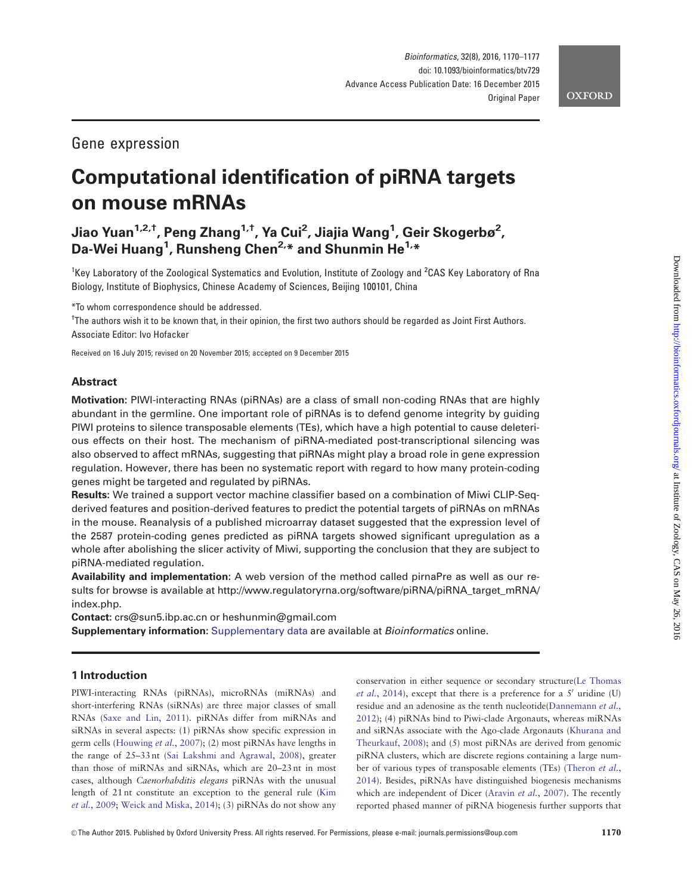# Gene expression

# Computational identification of piRNA targets on mouse mRNAs

# Jiao Yuan<sup>1,2,†</sup>, Peng Zhang<sup>1,†</sup>, Ya Cui<sup>2</sup>, Jiajia Wang<sup>1</sup>, Geir Skogerbø<sup>2</sup>, Da-Wei Huang<sup>1</sup>, Runsheng Chen<sup>2,</sup>\* and Shunmin He<sup>1,</sup>\*

<sup>1</sup>Key Laboratory of the Zoological Systematics and Evolution, Institute of Zoology and <sup>2</sup>CAS Key Laboratory of Rna Biology, Institute of Biophysics, Chinese Academy of Sciences, Beijing 100101, China

\*To whom correspondence should be addressed.

† The authors wish it to be known that, in their opinion, the first two authors should be regarded as Joint First Authors. Associate Editor: Ivo Hofacker

Received on 16 July 2015; revised on 20 November 2015; accepted on 9 December 2015

## Abstract

Motivation: PIWI-interacting RNAs (piRNAs) are a class of small non-coding RNAs that are highly abundant in the germline. One important role of piRNAs is to defend genome integrity by guiding PIWI proteins to silence transposable elements (TEs), which have a high potential to cause deleterious effects on their host. The mechanism of piRNA-mediated post-transcriptional silencing was also observed to affect mRNAs, suggesting that piRNAs might play a broad role in gene expression regulation. However, there has been no systematic report with regard to how many protein-coding genes might be targeted and regulated by piRNAs.

Results: We trained a support vector machine classifier based on a combination of Miwi CLIP-Seqderived features and position-derived features to predict the potential targets of piRNAs on mRNAs in the mouse. Reanalysis of a published microarray dataset suggested that the expression level of the 2587 protein-coding genes predicted as piRNA targets showed significant upregulation as a whole after abolishing the slicer activity of Miwi, supporting the conclusion that they are subject to piRNA-mediated regulation.

Availability and implementation: A web version of the method called pirnaPre as well as our results for browse is available at [http://www.regulatoryrna.org/software/piRNA/piRNA\\_target\\_mRNA/](http://www.regulatoryrna.org/software/piRNA/piRNA_target_mRNA/index.php) [index.php](http://www.regulatoryrna.org/software/piRNA/piRNA_target_mRNA/index.php).

Contact: crs@sun5.ibp.ac.cn or heshunmin@gmail.com

**Supplementary information:** [Supplementary data](http://bioinformatics.oxfordjournals.org/lookup/suppl/doi:10.1093/bioinformatics/btv729/-/DC1) are available at *Bioinformatics* online.

# 1 Introduction

PIWI-interacting RNAs (piRNAs), microRNAs (miRNAs) and short-interfering RNAs (siRNAs) are three major classes of small RNAs [\(Saxe and Lin, 2011](#page-7-0)). piRNAs differ from miRNAs and siRNAs in several aspects: (1) piRNAs show specific expression in germ cells ([Houwing](#page-7-0) et al., 2007); (2) most piRNAs have lengths in the range of 25–33 nt ([Sai Lakshmi and Agrawal, 2008\)](#page-7-0), greater than those of miRNAs and siRNAs, which are 20–23 nt in most cases, although Caenorhabditis elegans piRNAs with the unusual length of 21 nt constitute an exception to the general rule ([Kim](#page-7-0) et al.[, 2009](#page-7-0); [Weick and Miska, 2014\)](#page-7-0); (3) piRNAs do not show any

conservation in either sequence or secondary structure([Le Thomas](#page-7-0) et al.[, 2014\)](#page-7-0), except that there is a preference for a  $5'$  uridine (U) residue and an adenosine as the tenth nucleotide[\(Dannemann](#page-7-0) et al., [2012\)](#page-7-0); (4) piRNAs bind to Piwi-clade Argonauts, whereas miRNAs and siRNAs associate with the Ago-clade Argonauts ([Khurana and](#page-7-0) [Theurkauf, 2008\)](#page-7-0); and (5) most piRNAs are derived from genomic piRNA clusters, which are discrete regions containing a large number of various types of transposable elements (TEs) [\(Theron](#page-7-0) et al., [2014\)](#page-7-0). Besides, piRNAs have distinguished biogenesis mechanisms which are independent of Dicer [\(Aravin](#page-7-0) et al., 2007). The recently reported phased manner of piRNA biogenesis further supports that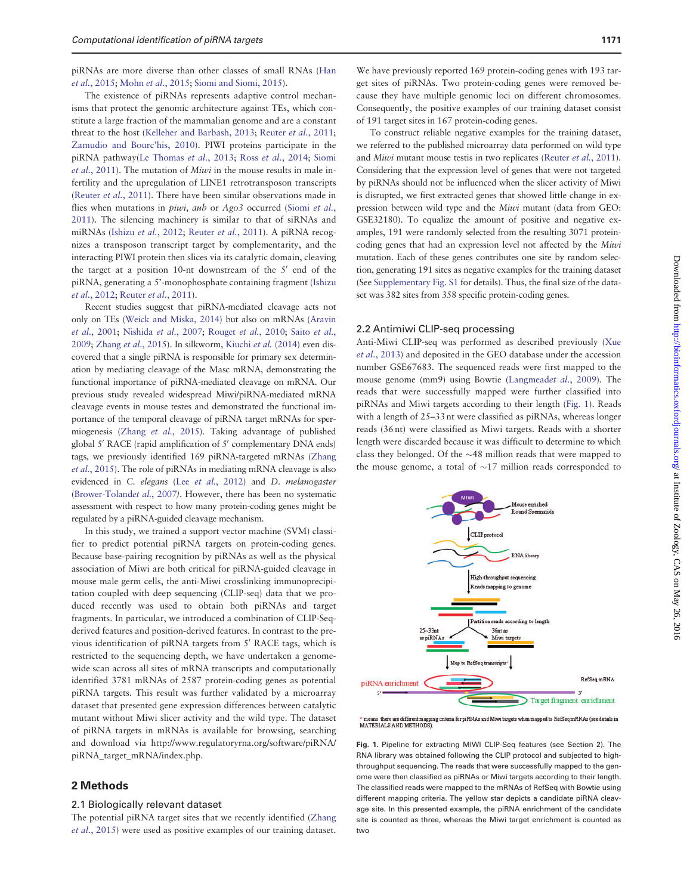<span id="page-1-0"></span>piRNAs are more diverse than other classes of small RNAs [\(Han](#page-7-0) et al.[, 2015;](#page-7-0) Mohn et al.[, 2015;](#page-7-0) [Siomi and Siomi, 2015\)](#page-7-0).

The existence of piRNAs represents adaptive control mechanisms that protect the genomic architecture against TEs, which constitute a large fraction of the mammalian genome and are a constant threat to the host ([Kelleher and Barbash, 2013;](#page-7-0) [Reuter](#page-7-0) et al., 2011; [Zamudio and Bourc'his, 2010](#page-7-0)). PIWI proteins participate in the piRNA pathway[\(Le Thomas](#page-7-0) et al., 2013; Ross et al.[, 2014](#page-7-0); [Siomi](#page-7-0) et al.[, 2011](#page-7-0)). The mutation of Miwi in the mouse results in male infertility and the upregulation of LINE1 retrotransposon transcripts ([Reuter](#page-7-0) et al., 2011). There have been similar observations made in flies when mutations in *piwi*, aub or Ago3 occurred [\(Siomi](#page-7-0) et al., [2011\)](#page-7-0). The silencing machinery is similar to that of siRNAs and miRNAs (Ishizu et al.[, 2012;](#page-7-0) [Reuter](#page-7-0) et al., 2011). A piRNA recognizes a transposon transcript target by complementarity, and the interacting PIWI protein then slices via its catalytic domain, cleaving the target at a position 10-nt downstream of the  $5'$  end of the piRNA, generating a 5'-monophosphate containing fragment ([Ishizu](#page-7-0) et al.[, 2012;](#page-7-0) [Reuter](#page-7-0) et al., 2011).

Recent studies suggest that piRNA-mediated cleavage acts not only on TEs ([Weick and Miska, 2014\)](#page-7-0) but also on mRNAs [\(Aravin](#page-7-0) et al.[, 2001](#page-7-0); [Nishida](#page-7-0) et al., 2007; [Rouget](#page-7-0) et al., 2010; Saito [et al.](#page-7-0), [2009](#page-7-0); [Zhang](#page-7-0) et al., 2015). In silkworm, [Kiuchi](#page-7-0) et al. (2014) even discovered that a single piRNA is responsible for primary sex determination by mediating cleavage of the Masc mRNA, demonstrating the functional importance of piRNA-mediated cleavage on mRNA. Our previous study revealed widespread Miwi/piRNA-mediated mRNA cleavage events in mouse testes and demonstrated the functional importance of the temporal cleavage of piRNA target mRNAs for spermiogenesis (Zhang et al.[, 2015](#page-7-0)). Taking advantage of published global  $5'$  RACE (rapid amplification of  $5'$  complementary DNA ends) tags, we previously identified 169 piRNA-targeted mRNAs [\(Zhang](#page-7-0) et al.[, 2015\)](#page-7-0). The role of piRNAs in mediating mRNA cleavage is also evidenced in C. elegans (Lee et al.[, 2012\)](#page-7-0) and D. melanogaster ([Brower-Toland](#page-7-0)et al., 2007). However, there has been no systematic assessment with respect to how many protein-coding genes might be regulated by a piRNA-guided cleavage mechanism.

In this study, we trained a support vector machine (SVM) classifier to predict potential piRNA targets on protein-coding genes. Because base-pairing recognition by piRNAs as well as the physical association of Miwi are both critical for piRNA-guided cleavage in mouse male germ cells, the anti-Miwi crosslinking immunoprecipitation coupled with deep sequencing (CLIP-seq) data that we produced recently was used to obtain both piRNAs and target fragments. In particular, we introduced a combination of CLIP-Seqderived features and position-derived features. In contrast to the previous identification of piRNA targets from  $5'$  RACE tags, which is restricted to the sequencing depth, we have undertaken a genomewide scan across all sites of mRNA transcripts and computationally identified 3781 mRNAs of 2587 protein-coding genes as potential piRNA targets. This result was further validated by a microarray dataset that presented gene expression differences between catalytic mutant without Miwi slicer activity and the wild type. The dataset of piRNA targets in mRNAs is available for browsing, searching and download via [http://www.regulatoryrna.org/software/piRNA/](http://www.regulatoryrna.org/software/piRNA/piRNA_target_mRNA/index.php) [piRNA\\_target\\_mRNA/index.php](http://www.regulatoryrna.org/software/piRNA/piRNA_target_mRNA/index.php).

# 2 Methods

#### 2.1 Biologically relevant dataset

The potential piRNA target sites that we recently identified ([Zhang](#page-7-0) et al.[, 2015\)](#page-7-0) were used as positive examples of our training dataset.

We have previously reported 169 protein-coding genes with 193 target sites of piRNAs. Two protein-coding genes were removed because they have multiple genomic loci on different chromosomes. Consequently, the positive examples of our training dataset consist of 191 target sites in 167 protein-coding genes.

To construct reliable negative examples for the training dataset, we referred to the published microarray data performed on wild type and Miwi mutant mouse testis in two replicates [\(Reuter](#page-7-0) et al., 2011). Considering that the expression level of genes that were not targeted by piRNAs should not be influenced when the slicer activity of Miwi is disrupted, we first extracted genes that showed little change in expression between wild type and the Miwi mutant (data from GEO: GSE32180). To equalize the amount of positive and negative examples, 191 were randomly selected from the resulting 3071 proteincoding genes that had an expression level not affected by the Miwi mutation. Each of these genes contributes one site by random selection, generating 191 sites as negative examples for the training dataset (See [Supplementary Fig. S1](http://bioinformatics.oxfordjournals.org/lookup/suppl/doi:10.1093/bioinformatics/btv729/-/DC1) for details). Thus, the final size of the dataset was 382 sites from 358 specific protein-coding genes.

#### 2.2 Antimiwi CLIP-seq processing

Anti-Miwi CLIP-seq was performed as described previously ([Xue](#page-7-0) et al.[, 2013\)](#page-7-0) and deposited in the GEO database under the accession number GSE67683. The sequenced reads were first mapped to the mouse genome (mm9) using Bowtie ([Langmead](#page-7-0)et al., 2009). The reads that were successfully mapped were further classified into piRNAs and Miwi targets according to their length (Fig. 1). Reads with a length of 25–33 nt were classified as piRNAs, whereas longer reads (36 nt) were classified as Miwi targets. Reads with a shorter length were discarded because it was difficult to determine to which class they belonged. Of the  $\sim$ 48 million reads that were mapped to the mouse genome, a total of  $\sim$ 17 million reads corresponded to



\* means there are different mapping criteria for piRNAs and Miwi targets when mapped to RefSeq mRNAs (see details in<br>MATERIALS AND METHODS).

Fig. 1. Pipeline for extracting MIWI CLIP-Seq features (see Section 2). The RNA library was obtained following the CLIP protocol and subjected to highthroughput sequencing. The reads that were successfully mapped to the genome were then classified as piRNAs or Miwi targets according to their length. The classified reads were mapped to the mRNAs of RefSeq with Bowtie using different mapping criteria. The yellow star depicts a candidate piRNA cleavage site. In this presented example, the piRNA enrichment of the candidate site is counted as three, whereas the Miwi target enrichment is counted as two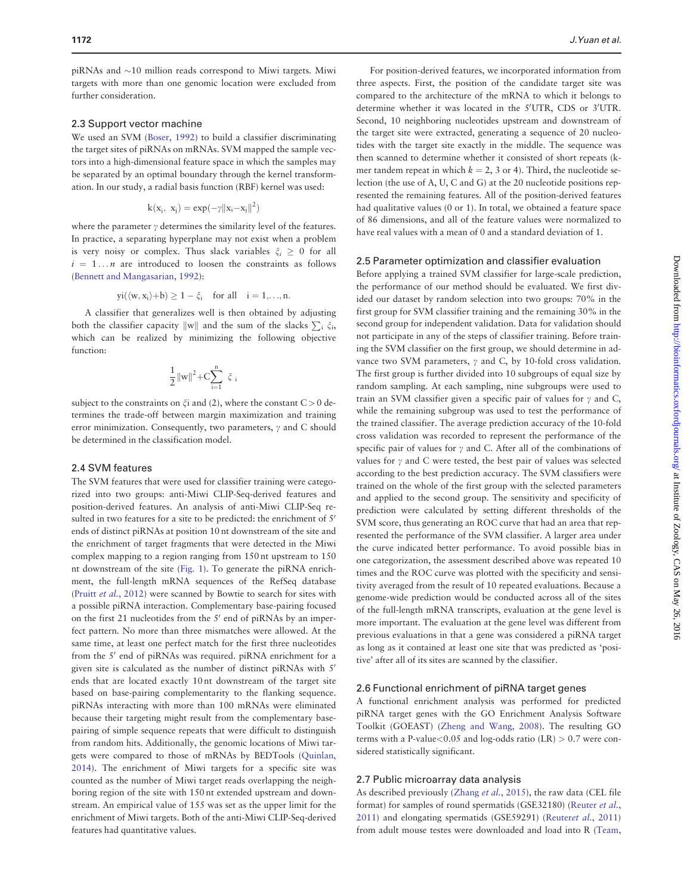piRNAs and  ${\sim}10$  million reads correspond to Miwi targets. Miwi targets with more than one genomic location were excluded from further consideration.

#### 2.3 Support vector machine

We used an SVM ([Boser, 1992](#page-7-0)) to build a classifier discriminating the target sites of piRNAs on mRNAs. SVM mapped the sample vectors into a high-dimensional feature space in which the samples may be separated by an optimal boundary through the kernel transformation. In our study, a radial basis function (RBF) kernel was used:

$$
k(x_i, x_j) = exp(-\gamma ||x_i - x_j||^2)
$$

where the parameter  $\gamma$  determines the similarity level of the features. In practice, a separating hyperplane may not exist when a problem is very noisy or complex. Thus slack variables  $\xi_i \geq 0$  for all  $i = 1...n$  are introduced to loosen the constraints as follows ([Bennett and Mangasarian, 1992\)](#page-7-0):

$$
yi(\langle w,x_i\rangle{+}b)\geq 1-\xi_i\quad\text{for all}\quad i=1,{\dots},n.
$$

A classifier that generalizes well is then obtained by adjusting both the classifier capacity  $\|w\|$  and the sum of the slacks  $\sum_i \xi_i$ , which can be realized by minimizing the following objective function:

$$
\frac{1}{2}\|w\|^2{+}C{\displaystyle\sum_{i=1}^{n}}\ \xi_i
$$

subject to the constraints on  $\xi$  and (2), where the constant  $C > 0$  determines the trade-off between margin maximization and training error minimization. Consequently, two parameters,  $\gamma$  and C should be determined in the classification model.

#### 2.4 SVM features

The SVM features that were used for classifier training were categorized into two groups: anti-Miwi CLIP-Seq-derived features and position-derived features. An analysis of anti-Miwi CLIP-Seq resulted in two features for a site to be predicted: the enrichment of 5' ends of distinct piRNAs at position 10 nt downstream of the site and the enrichment of target fragments that were detected in the Miwi complex mapping to a region ranging from 150 nt upstream to 150 nt downstream of the site [\(Fig. 1\)](#page-1-0). To generate the piRNA enrichment, the full-length mRNA sequences of the RefSeq database (Pruitt et al.[, 2012](#page-7-0)) were scanned by Bowtie to search for sites with a possible piRNA interaction. Complementary base-pairing focused on the first 21 nucleotides from the  $5'$  end of piRNAs by an imperfect pattern. No more than three mismatches were allowed. At the same time, at least one perfect match for the first three nucleotides from the 5' end of piRNAs was required. piRNA enrichment for a given site is calculated as the number of distinct piRNAs with  $5'$ ends that are located exactly 10 nt downstream of the target site based on base-pairing complementarity to the flanking sequence. piRNAs interacting with more than 100 mRNAs were eliminated because their targeting might result from the complementary basepairing of simple sequence repeats that were difficult to distinguish from random hits. Additionally, the genomic locations of Miwi targets were compared to those of mRNAs by BEDTools ([Quinlan,](#page-7-0) [2014\)](#page-7-0). The enrichment of Miwi targets for a specific site was counted as the number of Miwi target reads overlapping the neighboring region of the site with 150 nt extended upstream and downstream. An empirical value of 155 was set as the upper limit for the enrichment of Miwi targets. Both of the anti-Miwi CLIP-Seq-derived features had quantitative values.

For position-derived features, we incorporated information from three aspects. First, the position of the candidate target site was compared to the architecture of the mRNA to which it belongs to determine whether it was located in the 5'UTR, CDS or 3'UTR. Second, 10 neighboring nucleotides upstream and downstream of the target site were extracted, generating a sequence of 20 nucleotides with the target site exactly in the middle. The sequence was then scanned to determine whether it consisted of short repeats (kmer tandem repeat in which  $k = 2$ , 3 or 4). Third, the nucleotide selection (the use of A, U, C and G) at the 20 nucleotide positions represented the remaining features. All of the position-derived features had qualitative values (0 or 1). In total, we obtained a feature space of 86 dimensions, and all of the feature values were normalized to have real values with a mean of 0 and a standard deviation of 1.

#### 2.5 Parameter optimization and classifier evaluation

Before applying a trained SVM classifier for large-scale prediction, the performance of our method should be evaluated. We first divided our dataset by random selection into two groups: 70% in the first group for SVM classifier training and the remaining 30% in the second group for independent validation. Data for validation should not participate in any of the steps of classifier training. Before training the SVM classifier on the first group, we should determine in advance two SVM parameters,  $\gamma$  and C, by 10-fold cross validation. The first group is further divided into 10 subgroups of equal size by random sampling. At each sampling, nine subgroups were used to train an SVM classifier given a specific pair of values for  $\gamma$  and C, while the remaining subgroup was used to test the performance of the trained classifier. The average prediction accuracy of the 10-fold cross validation was recorded to represent the performance of the specific pair of values for  $\gamma$  and C. After all of the combinations of values for  $\gamma$  and C were tested, the best pair of values was selected according to the best prediction accuracy. The SVM classifiers were trained on the whole of the first group with the selected parameters and applied to the second group. The sensitivity and specificity of prediction were calculated by setting different thresholds of the SVM score, thus generating an ROC curve that had an area that represented the performance of the SVM classifier. A larger area under the curve indicated better performance. To avoid possible bias in one categorization, the assessment described above was repeated 10 times and the ROC curve was plotted with the specificity and sensitivity averaged from the result of 10 repeated evaluations. Because a genome-wide prediction would be conducted across all of the sites of the full-length mRNA transcripts, evaluation at the gene level is more important. The evaluation at the gene level was different from previous evaluations in that a gene was considered a piRNA target as long as it contained at least one site that was predicted as 'positive' after all of its sites are scanned by the classifier.

#### 2.6 Functional enrichment of piRNA target genes

A functional enrichment analysis was performed for predicted piRNA target genes with the GO Enrichment Analysis Software Toolkit (GOEAST) ([Zheng and Wang, 2008\)](#page-7-0). The resulting GO terms with a P-value<0.05 and log-odds ratio  $(LR) > 0.7$  were considered statistically significant.

#### 2.7 Public microarray data analysis

As described previously [\(Zhang](#page-7-0) et al., 2015), the raw data (CEL file format) for samples of round spermatids (GSE32180) ([Reuter](#page-7-0) et al., [2011\)](#page-7-0) and elongating spermatids (GSE59291) [\(Reuter](#page-7-0)et al., 2011) from adult mouse testes were downloaded and load into R [\(Team,](#page-7-0)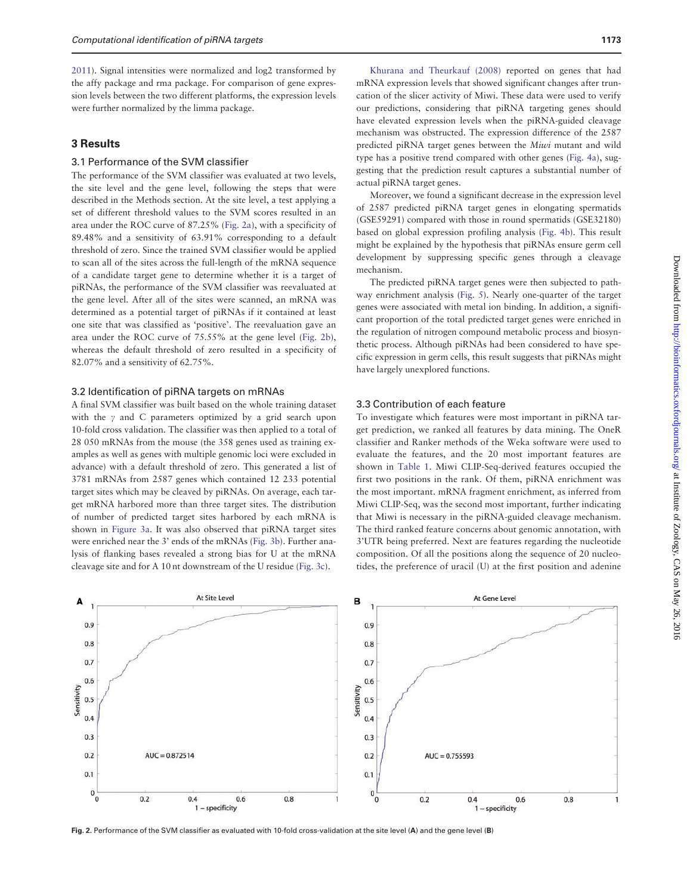[2011\)](#page-7-0). Signal intensities were normalized and log2 transformed by the affy package and rma package. For comparison of gene expression levels between the two different platforms, the expression levels were further normalized by the limma package.

# 3 Results

# 3.1 Performance of the SVM classifier

The performance of the SVM classifier was evaluated at two levels, the site level and the gene level, following the steps that were described in the Methods section. At the site level, a test applying a set of different threshold values to the SVM scores resulted in an area under the ROC curve of 87.25% (Fig. 2a), with a specificity of 89.48% and a sensitivity of 63.91% corresponding to a default threshold of zero. Since the trained SVM classifier would be applied to scan all of the sites across the full-length of the mRNA sequence of a candidate target gene to determine whether it is a target of piRNAs, the performance of the SVM classifier was reevaluated at the gene level. After all of the sites were scanned, an mRNA was determined as a potential target of piRNAs if it contained at least one site that was classified as 'positive'. The reevaluation gave an area under the ROC curve of 75.55% at the gene level (Fig. 2b), whereas the default threshold of zero resulted in a specificity of 82.07% and a sensitivity of 62.75%.

#### 3.2 Identification of piRNA targets on mRNAs

A final SVM classifier was built based on the whole training dataset with the  $\gamma$  and C parameters optimized by a grid search upon 10-fold cross validation. The classifier was then applied to a total of 28 050 mRNAs from the mouse (the 358 genes used as training examples as well as genes with multiple genomic loci were excluded in advance) with a default threshold of zero. This generated a list of 3781 mRNAs from 2587 genes which contained 12 233 potential target sites which may be cleaved by piRNAs. On average, each target mRNA harbored more than three target sites. The distribution of number of predicted target sites harbored by each mRNA is shown in [Figure 3a](#page-4-0). It was also observed that piRNA target sites were enriched near the 3' ends of the mRNAs ([Fig. 3b](#page-4-0)). Further analysis of flanking bases revealed a strong bias for U at the mRNA cleavage site and for A 10 nt downstream of the U residue [\(Fig. 3c](#page-4-0)).

[Khurana and Theurkauf \(2008\)](#page-7-0) reported on genes that had mRNA expression levels that showed significant changes after truncation of the slicer activity of Miwi. These data were used to verify our predictions, considering that piRNA targeting genes should have elevated expression levels when the piRNA-guided cleavage mechanism was obstructed. The expression difference of the 2587 predicted piRNA target genes between the Miwi mutant and wild type has a positive trend compared with other genes [\(Fig. 4a](#page-4-0)), suggesting that the prediction result captures a substantial number of actual piRNA target genes.

Moreover, we found a significant decrease in the expression level of 2587 predicted piRNA target genes in elongating spermatids (GSE59291) compared with those in round spermatids (GSE32180) based on global expression profiling analysis [\(Fig. 4b\)](#page-4-0). This result might be explained by the hypothesis that piRNAs ensure germ cell development by suppressing specific genes through a cleavage mechanism.

The predicted piRNA target genes were then subjected to pathway enrichment analysis ([Fig. 5](#page-5-0)). Nearly one-quarter of the target genes were associated with metal ion binding. In addition, a significant proportion of the total predicted target genes were enriched in the regulation of nitrogen compound metabolic process and biosynthetic process. Although piRNAs had been considered to have specific expression in germ cells, this result suggests that piRNAs might have largely unexplored functions.

#### 3.3 Contribution of each feature

To investigate which features were most important in piRNA target prediction, we ranked all features by data mining. The OneR classifier and Ranker methods of the Weka software were used to evaluate the features, and the 20 most important features are shown in [Table 1](#page-5-0). Miwi CLIP-Seq-derived features occupied the first two positions in the rank. Of them, piRNA enrichment was the most important. mRNA fragment enrichment, as inferred from Miwi CLIP-Seq, was the second most important, further indicating that Miwi is necessary in the piRNA-guided cleavage mechanism. The third ranked feature concerns about genomic annotation, with 3'UTR being preferred. Next are features regarding the nucleotide composition. Of all the positions along the sequence of 20 nucleotides, the preference of uracil (U) at the first position and adenine



Fig. 2. Performance of the SVM classifier as evaluated with 10-fold cross-validation at the site level (A) and the gene level (B)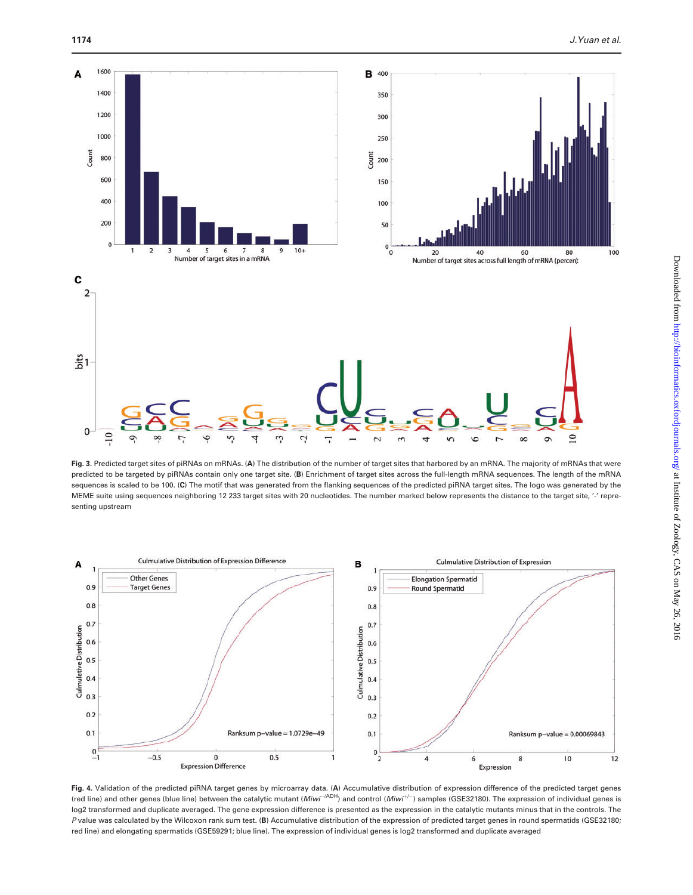<span id="page-4-0"></span>

Fig. 3. Predicted target sites of piRNAs on mRNAs. (A) The distribution of the number of target sites that harbored by an mRNA. The majority of mRNAs that were predicted to be targeted by piRNAs contain only one target site. (B) Enrichment of target sites across the full-length mRNA sequences. The length of the mRNA sequences is scaled to be 100. (C) The motif that was generated from the flanking sequences of the predicted piRNA target sites. The logo was generated by the MEME suite using sequences neighboring 12 233 target sites with 20 nucleotides. The number marked below represents the distance to the target site, '-' representing upstream



Fig. 4. Validation of the predicted piRNA target genes by microarray data. (A) Accumulative distribution of expression difference of the predicted target genes (red line) and other genes (blue line) between the catalytic mutant (Miwi<sup>-/ADH</sup>) and control (Miwi<sup>+/-</sup>) samples (GSE32180). The expression of individual genes is log2 transformed and duplicate averaged. The gene expression difference is presented as the expression in the catalytic mutants minus that in the controls. The P value was calculated by the Wilcoxon rank sum test. (B) Accumulative distribution of the expression of predicted target genes in round spermatids (GSE32180; red line) and elongating spermatids (GSE59291; blue line). The expression of individual genes is log2 transformed and duplicate averaged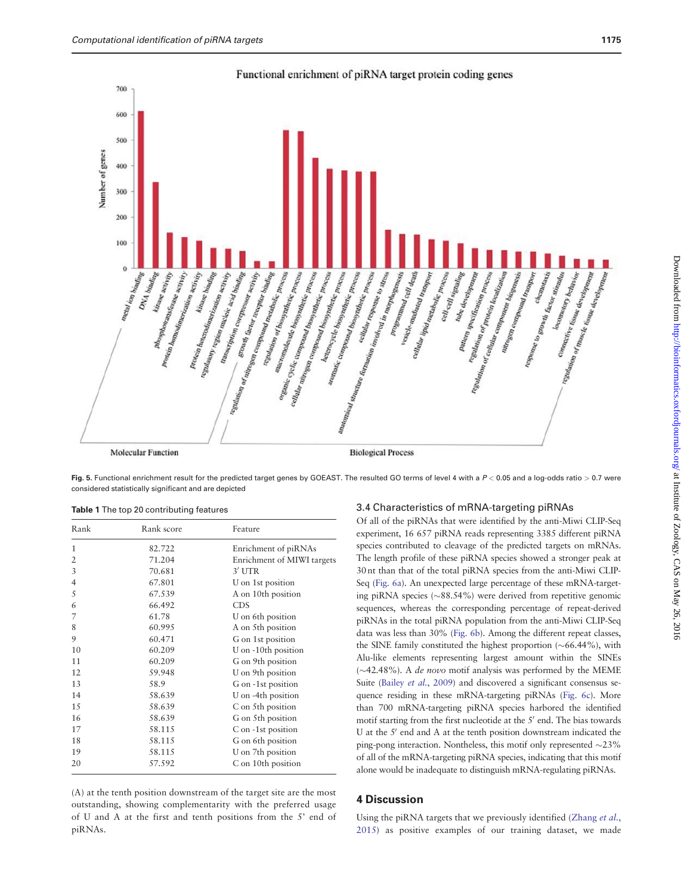<span id="page-5-0"></span>

Functional enrichment of piRNA target protein coding genes

**Molecular Function** 

**Biological Process** 

Fig. 5. Functional enrichment result for the predicted target genes by GOEAST. The resulted GO terms of level 4 with a  $P < 0.05$  and a log-odds ratio  $> 0.7$  were considered statistically significant and are depicted

|  |  | Table 1 The top 20 contributing features |  |
|--|--|------------------------------------------|--|
|  |  |                                          |  |

| Rank           | Rank score | Feature                    |  |
|----------------|------------|----------------------------|--|
| 1              | 82.722     | Enrichment of piRNAs       |  |
| 2              | 71.204     | Enrichment of MIWI targets |  |
| 3              | 70.681     | $3'$ UTR                   |  |
| $\overline{4}$ | 67.801     | U on 1st position          |  |
| 5              | 67.539     | A on 10th position         |  |
| 6              | 66.492     | <b>CDS</b>                 |  |
| 7              | 61.78      | U on 6th position          |  |
| 8              | 60.995     | A on 5th position          |  |
| 9              | 60.471     | G on 1st position          |  |
| 10             | 60.209     | U on -10th position        |  |
| 11             | 60.209     | G on 9th position          |  |
| 12             | 59.948     | U on 9th position          |  |
| 13             | 58.9       | G on -1st position         |  |
| 14             | 58.639     | U on -4th position         |  |
| 15             | 58.639     | C on 5th position          |  |
| 16             | 58.639     | G on 5th position          |  |
| 17             | 58.115     | C on -1st position         |  |
| 18             | 58.115     | G on 6th position          |  |
| 19             | 58.115     | U on 7th position          |  |
| 20             | 57.592     | C on 10th position         |  |

(A) at the tenth position downstream of the target site are the most outstanding, showing complementarity with the preferred usage of U and A at the first and tenth positions from the 5' end of piRNAs.

#### 3.4 Characteristics of mRNA-targeting piRNAs

Of all of the piRNAs that were identified by the anti-Miwi CLIP-Seq experiment, 16 657 piRNA reads representing 3385 different piRNA species contributed to cleavage of the predicted targets on mRNAs. The length profile of these piRNA species showed a stronger peak at 30 nt than that of the total piRNA species from the anti-Miwi CLIP-Seq ([Fig. 6a\)](#page-6-0). An unexpected large percentage of these mRNA-targeting piRNA species  $(\sim 88.54\%)$  were derived from repetitive genomic sequences, whereas the corresponding percentage of repeat-derived piRNAs in the total piRNA population from the anti-Miwi CLIP-Seq data was less than 30% ([Fig. 6b](#page-6-0)). Among the different repeat classes, the SINE family constituted the highest proportion  $(\sim 66.44\%)$ , with Alu-like elements representing largest amount within the SINEs  $(\sim$ 42.48%). A *de novo* motif analysis was performed by the MEME Suite (Bailey et al.[, 2009](#page-7-0)) and discovered a significant consensus sequence residing in these mRNA-targeting piRNAs ([Fig. 6c\)](#page-6-0). More than 700 mRNA-targeting piRNA species harbored the identified motif starting from the first nucleotide at the 5' end. The bias towards U at the 5' end and A at the tenth position downstream indicated the ping-pong interaction. Nontheless, this motif only represented  $\sim$ 23% of all of the mRNA-targeting piRNA species, indicating that this motif alone would be inadequate to distinguish mRNA-regulating piRNAs.

Using the piRNA targets that we previously identified [\(Zhang](#page-7-0) et al., [2015\)](#page-7-0) as positive examples of our training dataset, we made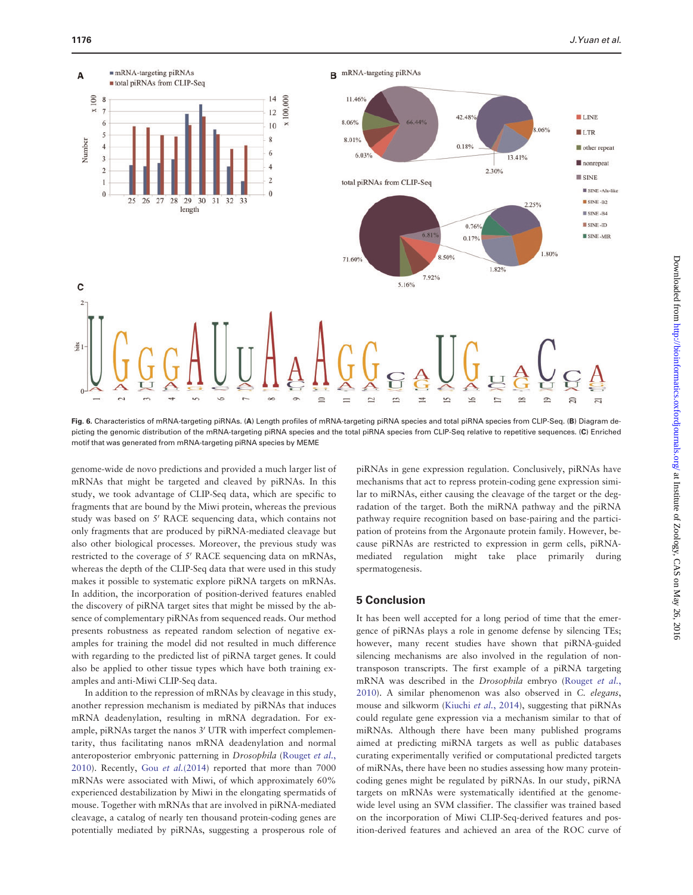<span id="page-6-0"></span>

Fig. 6. Characteristics of mRNA-targeting piRNAs. (A) Length profiles of mRNA-targeting piRNA species and total piRNA species from CLIP-Seq. (B) Diagram depicting the genomic distribution of the mRNA-targeting piRNA species and the total piRNA species from CLIP-Seq relative to repetitive sequences. (C) Enriched motif that was generated from mRNA-targeting piRNA species by MEME

genome-wide de novo predictions and provided a much larger list of mRNAs that might be targeted and cleaved by piRNAs. In this study, we took advantage of CLIP-Seq data, which are specific to fragments that are bound by the Miwi protein, whereas the previous study was based on 5' RACE sequencing data, which contains not only fragments that are produced by piRNA-mediated cleavage but also other biological processes. Moreover, the previous study was restricted to the coverage of 5' RACE sequencing data on mRNAs, whereas the depth of the CLIP-Seq data that were used in this study makes it possible to systematic explore piRNA targets on mRNAs. In addition, the incorporation of position-derived features enabled the discovery of piRNA target sites that might be missed by the absence of complementary piRNAs from sequenced reads. Our method presents robustness as repeated random selection of negative examples for training the model did not resulted in much difference with regarding to the predicted list of piRNA target genes. It could also be applied to other tissue types which have both training examples and anti-Miwi CLIP-Seq data.

In addition to the repression of mRNAs by cleavage in this study, another repression mechanism is mediated by piRNAs that induces mRNA deadenylation, resulting in mRNA degradation. For example, piRNAs target the nanos 3' UTR with imperfect complementarity, thus facilitating nanos mRNA deadenylation and normal anteroposterior embryonic patterning in Drosophila ([Rouget](#page-7-0) et al., [2010\)](#page-7-0). Recently, Gou et al.[\(2014](#page-7-0)) reported that more than 7000 mRNAs were associated with Miwi, of which approximately 60% experienced destabilization by Miwi in the elongating spermatids of mouse. Together with mRNAs that are involved in piRNA-mediated cleavage, a catalog of nearly ten thousand protein-coding genes are potentially mediated by piRNAs, suggesting a prosperous role of piRNAs in gene expression regulation. Conclusively, piRNAs have mechanisms that act to repress protein-coding gene expression similar to miRNAs, either causing the cleavage of the target or the degradation of the target. Both the miRNA pathway and the piRNA pathway require recognition based on base-pairing and the participation of proteins from the Argonaute protein family. However, because piRNAs are restricted to expression in germ cells, piRNAmediated regulation might take place primarily during spermatogenesis.

# 5 Conclusion

It has been well accepted for a long period of time that the emergence of piRNAs plays a role in genome defense by silencing TEs; however, many recent studies have shown that piRNA-guided silencing mechanisms are also involved in the regulation of nontransposon transcripts. The first example of a piRNA targeting mRNA was described in the Drosophila embryo [\(Rouget](#page-7-0) et al., [2010\)](#page-7-0). A similar phenomenon was also observed in C. elegans, mouse and silkworm [\(Kiuchi](#page-7-0) et al., 2014), suggesting that piRNAs could regulate gene expression via a mechanism similar to that of miRNAs. Although there have been many published programs aimed at predicting miRNA targets as well as public databases curating experimentally verified or computational predicted targets of miRNAs, there have been no studies assessing how many proteincoding genes might be regulated by piRNAs. In our study, piRNA targets on mRNAs were systematically identified at the genomewide level using an SVM classifier. The classifier was trained based on the incorporation of Miwi CLIP-Seq-derived features and position-derived features and achieved an area of the ROC curve of